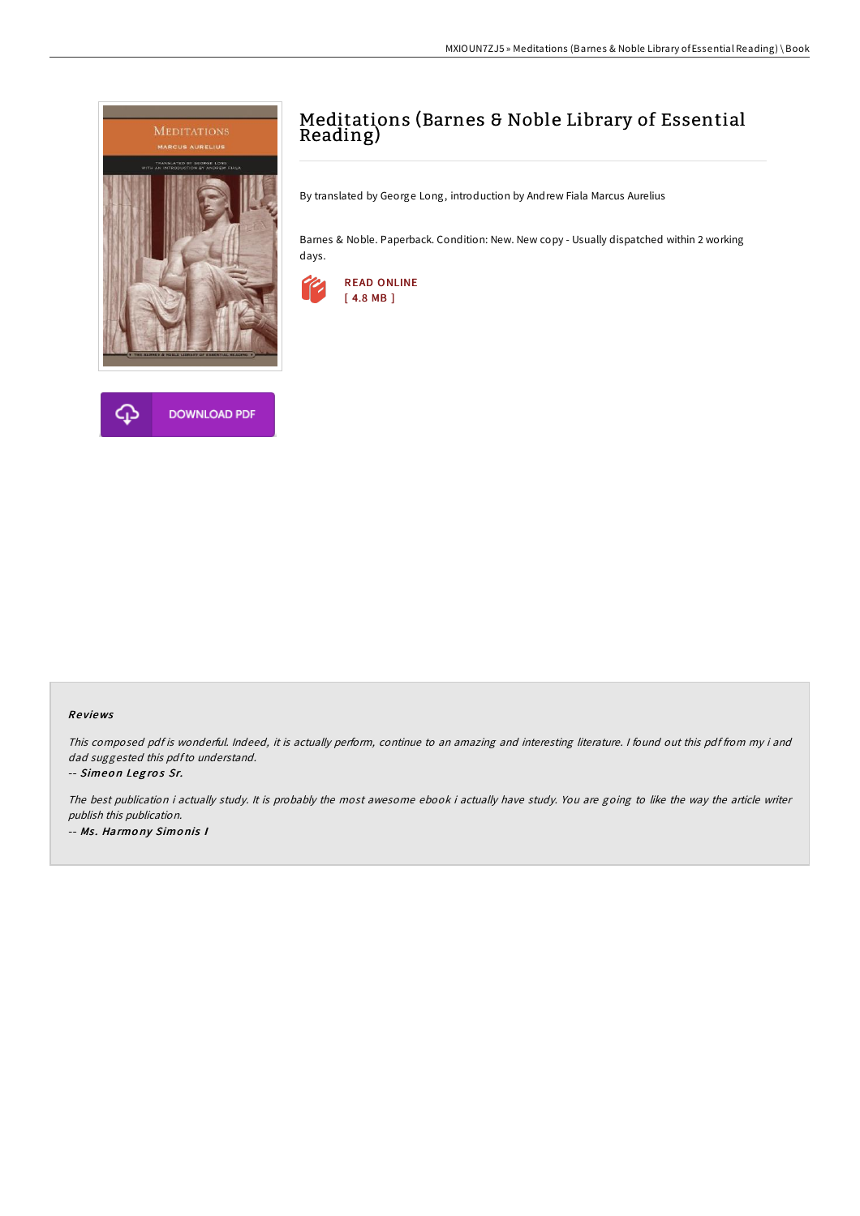



# Meditations (Barnes & Noble Library of Essential Reading)

By translated by George Long, introduction by Andrew Fiala Marcus Aurelius

Barnes & Noble. Paperback. Condition: New. New copy - Usually dispatched within 2 working days.



## Re views

This composed pdf is wonderful. Indeed, it is actually perform, continue to an amazing and interesting literature. I found out this pdf from my i and dad suggested this pdfto understand.

-- Simeon Legros Sr.

The best publication i actually study. It is probably the most awesome ebook i actually have study. You are going to like the way the article writer publish this publication. -- Ms. Harmony Simonis I